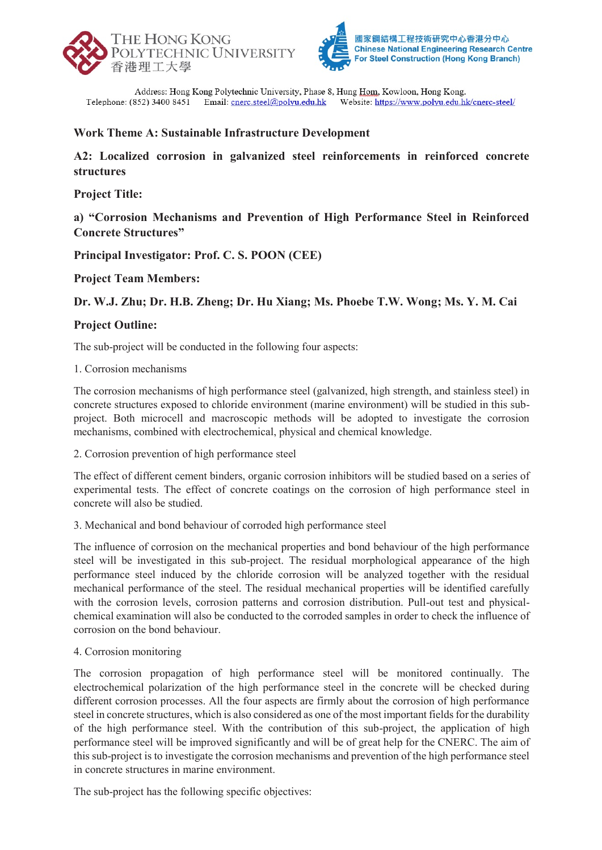



Address: Hong Kong Polytechnic University, Phase 8, Hung Hom, Kowloon, Hong Kong. Website: https://www.polyu.edu.hk/cnerc-steel/ Telephone: (852) 3400 8451 Email: cnerc.steel@polyu.edu.hk

# **Work Theme A: Sustainable Infrastructure Development**

**A2: Localized corrosion in galvanized steel reinforcements in reinforced concrete structures** 

**Project Title:** 

**a) "Corrosion Mechanisms and Prevention of High Performance Steel in Reinforced Concrete Structures"**

**Principal Investigator: Prof. C. S. POON (CEE)** 

**Project Team Members:** 

**Dr. W.J. Zhu; Dr. H.B. Zheng; Dr. Hu Xiang; Ms. Phoebe T.W. Wong; Ms. Y. M. Cai** 

# **Project Outline:**

The sub-project will be conducted in the following four aspects:

## 1. Corrosion mechanisms

The corrosion mechanisms of high performance steel (galvanized, high strength, and stainless steel) in concrete structures exposed to chloride environment (marine environment) will be studied in this subproject. Both microcell and macroscopic methods will be adopted to investigate the corrosion mechanisms, combined with electrochemical, physical and chemical knowledge.

2. Corrosion prevention of high performance steel

The effect of different cement binders, organic corrosion inhibitors will be studied based on a series of experimental tests. The effect of concrete coatings on the corrosion of high performance steel in concrete will also be studied.

3. Mechanical and bond behaviour of corroded high performance steel

The influence of corrosion on the mechanical properties and bond behaviour of the high performance steel will be investigated in this sub-project. The residual morphological appearance of the high performance steel induced by the chloride corrosion will be analyzed together with the residual mechanical performance of the steel. The residual mechanical properties will be identified carefully with the corrosion levels, corrosion patterns and corrosion distribution. Pull-out test and physicalchemical examination will also be conducted to the corroded samples in order to check the influence of corrosion on the bond behaviour.

4. Corrosion monitoring

The corrosion propagation of high performance steel will be monitored continually. The electrochemical polarization of the high performance steel in the concrete will be checked during different corrosion processes. All the four aspects are firmly about the corrosion of high performance steel in concrete structures, which is also considered as one of the most important fields for the durability of the high performance steel. With the contribution of this sub-project, the application of high performance steel will be improved significantly and will be of great help for the CNERC. The aim of this sub-project is to investigate the corrosion mechanisms and prevention of the high performance steel in concrete structures in marine environment.

The sub-project has the following specific objectives: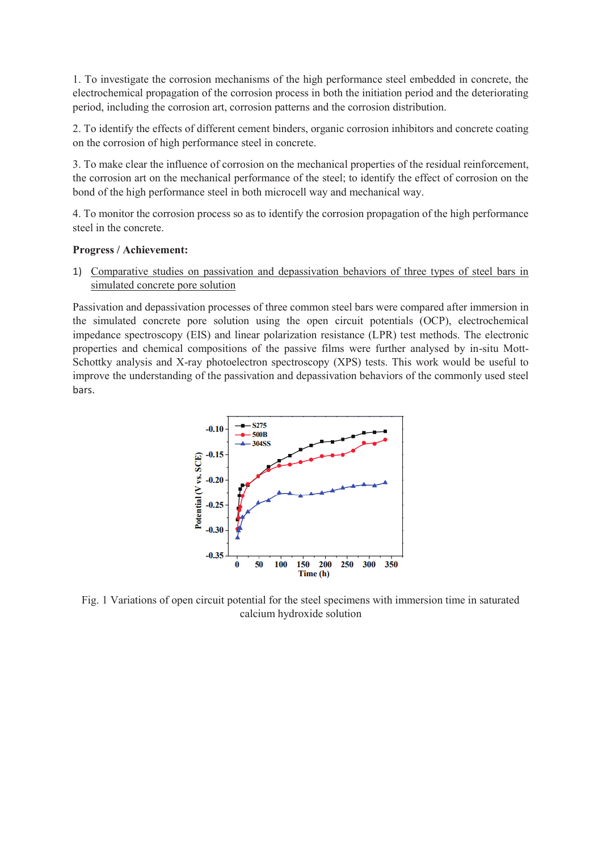1. To investigate the corrosion mechanisms of the high performance steel embedded in concrete, the electrochemical propagation of the corrosion process in both the initiation period and the deteriorating period, including the corrosion art, corrosion patterns and the corrosion distribution.

2. To identify the effects of different cement binders, organic corrosion inhibitors and concrete coating on the corrosion of high performance steel in concrete.

3. To make clear the influence of corrosion on the mechanical properties of the residual reinforcement, the corrosion art on the mechanical performance of the steel; to identify the effect of corrosion on the bond of the high performance steel in both microcell way and mechanical way.

4. To monitor the corrosion process so as to identify the corrosion propagation of the high performance steel in the concrete.

### **Progress / Achievement:**

1) Comparative studies on passivation and depassivation behaviors of three types of steel bars in simulated concrete pore solution

Passivation and depassivation processes of three common steel bars were compared after immersion in the simulated concrete pore solution using the open circuit potentials (OCP), electrochemical impedance spectroscopy (EIS) and linear polarization resistance (LPR) test methods. The electronic properties and chemical compositions of the passive films were further analysed by in-situ Mott-Schottky analysis and X-ray photoelectron spectroscopy (XPS) tests. This work would be useful to improve the understanding of the passivation and depassivation behaviors of the commonly used steel bars.



Fig. 1 Variations of open circuit potential for the steel specimens with immersion time in saturated calcium hydroxide solution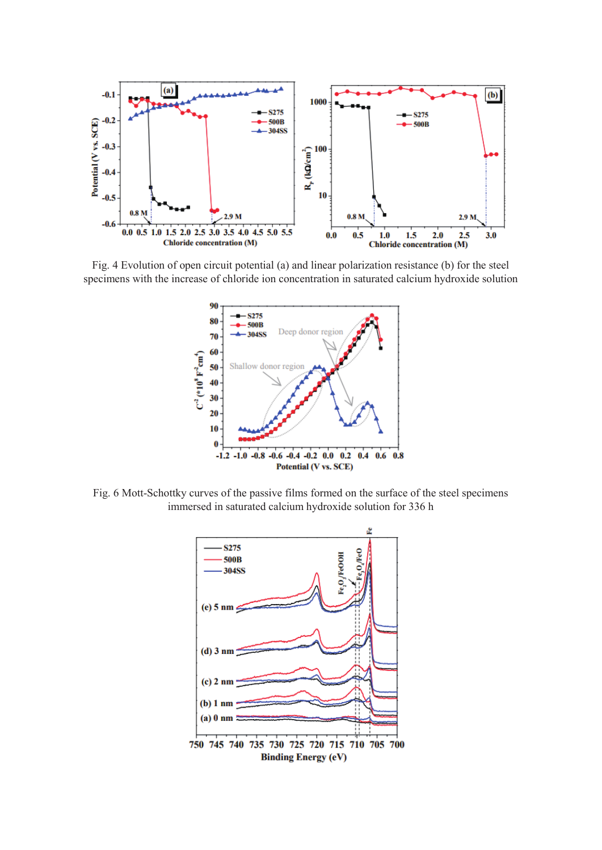

Fig. 4 Evolution of open circuit potential (a) and linear polarization resistance (b) for the steel specimens with the increase of chloride ion concentration in saturated calcium hydroxide solution



Fig. 6 Mott-Schottky curves of the passive films formed on the surface of the steel specimens immersed in saturated calcium hydroxide solution for 336 h

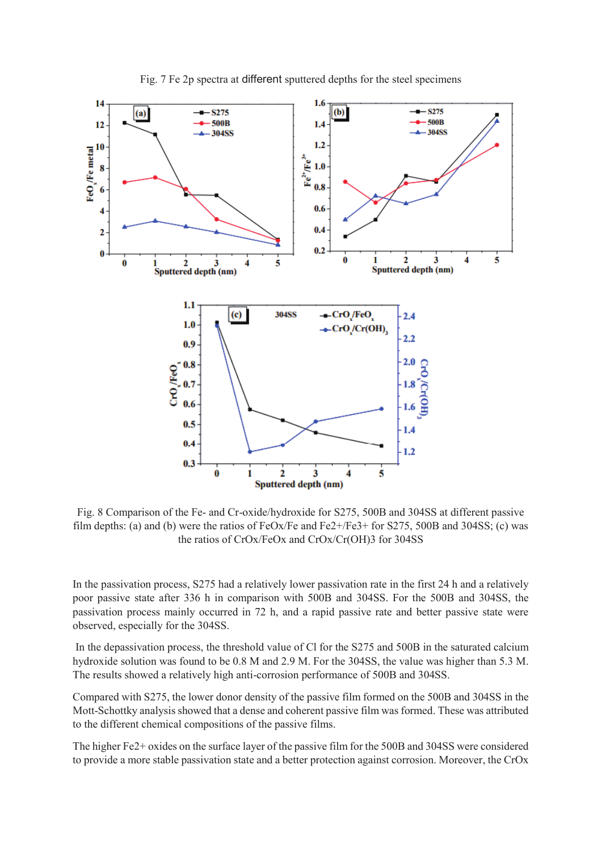

Fig. 7 Fe 2p spectra at different sputtered depths for the steel specimens

Fig. 8 Comparison of the Fe- and Cr-oxide/hydroxide for S275, 500B and 304SS at different passive film depths: (a) and (b) were the ratios of FeOx/Fe and Fe2+/Fe3+ for S275, 500B and 304SS; (c) was the ratios of CrOx/FeOx and CrOx/Cr(OH)3 for 304SS

In the passivation process, S275 had a relatively lower passivation rate in the first 24 h and a relatively poor passive state after 336 h in comparison with 500B and 304SS. For the 500B and 304SS, the passivation process mainly occurred in 72 h, and a rapid passive rate and better passive state were observed, especially for the 304SS.

 In the depassivation process, the threshold value of Cl for the S275 and 500B in the saturated calcium hydroxide solution was found to be 0.8 M and 2.9 M. For the 304SS, the value was higher than 5.3 M. The results showed a relatively high anti-corrosion performance of 500B and 304SS.

Compared with S275, the lower donor density of the passive film formed on the 500B and 304SS in the Mott-Schottky analysis showed that a dense and coherent passive film was formed. These was attributed to the different chemical compositions of the passive films.

The higher Fe2+ oxides on the surface layer of the passive film for the 500B and 304SS were considered to provide a more stable passivation state and a better protection against corrosion. Moreover, the CrOx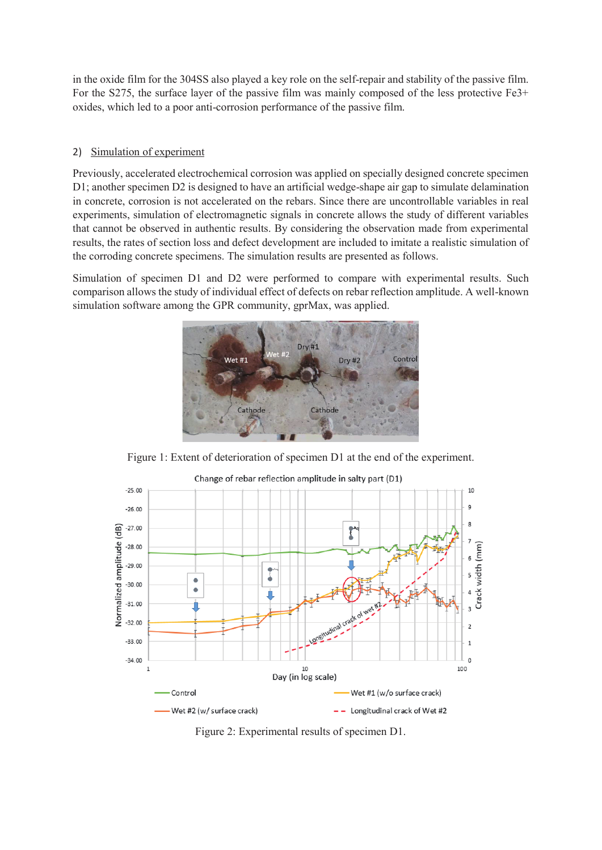in the oxide film for the 304SS also played a key role on the self-repair and stability of the passive film. For the S275, the surface layer of the passive film was mainly composed of the less protective Fe3+ oxides, which led to a poor anti-corrosion performance of the passive film.

## 2) Simulation of experiment

Previously, accelerated electrochemical corrosion was applied on specially designed concrete specimen D1; another specimen D2 is designed to have an artificial wedge-shape air gap to simulate delamination in concrete, corrosion is not accelerated on the rebars. Since there are uncontrollable variables in real experiments, simulation of electromagnetic signals in concrete allows the study of different variables that cannot be observed in authentic results. By considering the observation made from experimental results, the rates of section loss and defect development are included to imitate a realistic simulation of the corroding concrete specimens. The simulation results are presented as follows.

Simulation of specimen D1 and D2 were performed to compare with experimental results. Such comparison allows the study of individual effect of defects on rebar reflection amplitude. A well-known simulation software among the GPR community, gprMax, was applied.



Figure 1: Extent of deterioration of specimen D1 at the end of the experiment.



Figure 2: Experimental results of specimen D1.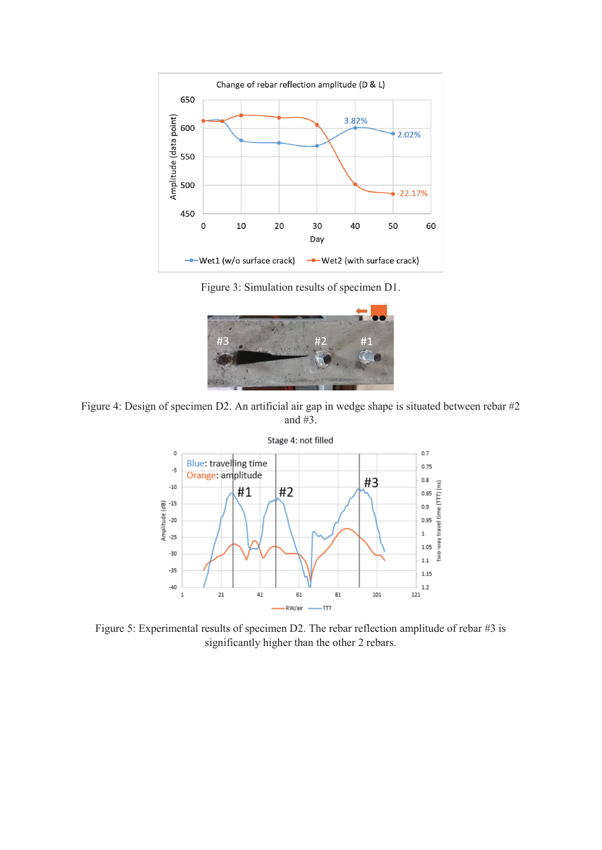

Figure 3: Simulation results of specimen D1.



Figure 4: Design of specimen D2. An artificial air gap in wedge shape is situated between rebar #2 and #3.



Figure 5: Experimental results of specimen D2. The rebar reflection amplitude of rebar #3 is significantly higher than the other 2 rebars.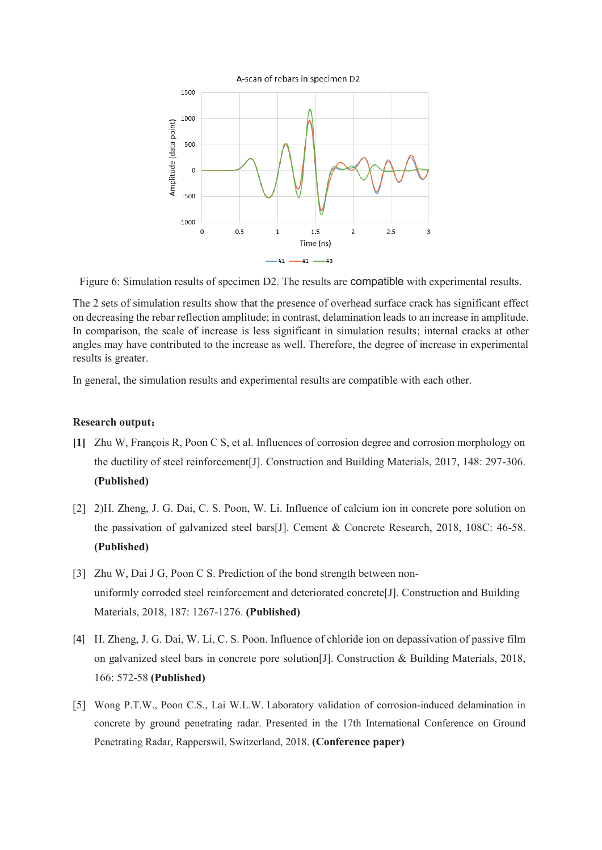

Figure 6: Simulation results of specimen D2. The results are compatible with experimental results.

The 2 sets of simulation results show that the presence of overhead surface crack has significant effect on decreasing the rebar reflection amplitude; in contrast, delamination leads to an increase in amplitude. In comparison, the scale of increase is less significant in simulation results; internal cracks at other angles may have contributed to the increase as well. Therefore, the degree of increase in experimental results is greater.

In general, the simulation results and experimental results are compatible with each other.

#### **Research output:**

- **[1]** Zhu W, François R, Poon C S, et al. Influences of corrosion degree and corrosion morphology on the ductility of steel reinforcement[J]. Construction and Building Materials, 2017, 148: 297-306. **(Published)**
- [2] 2)H. Zheng, J. G. Dai, C. S. Poon, W. Li. Influence of calcium ion in concrete pore solution on the passivation of galvanized steel bars[J]. Cement & Concrete Research, 2018, 108C: 46-58. **(Published)**
- [3] Zhu W, Dai J G, Poon C S. Prediction of the bond strength between nonuniformly corroded steel reinforcement and deteriorated concrete[J]. Construction and Building Materials, 2018, 187: 1267-1276. **(Published)**
- [4] H. Zheng, J. G. Dai, W. Li, C. S. Poon. Influence of chloride ion on depassivation of passive film on galvanized steel bars in concrete pore solution[J]. Construction & Building Materials, 2018, 166: 572-58 **(Published)**
- [5] Wong P.T.W., Poon C.S., Lai W.L.W. Laboratory validation of corrosion-induced delamination in concrete by ground penetrating radar. Presented in the 17th International Conference on Ground Penetrating Radar, Rapperswil, Switzerland, 2018. **(Conference paper)**